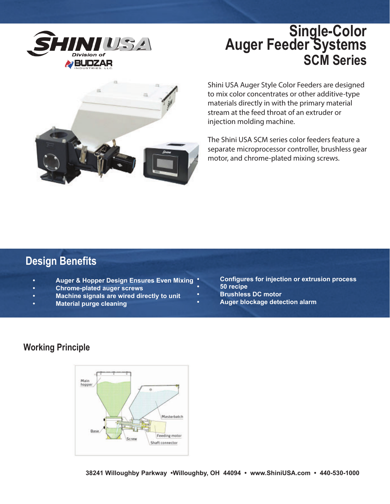

## **Single-Color Auger Feeder Systems SCM Series**



Shini USA Auger Style Color Feeders are designed to mix color concentrates or other additive-type materials directly in with the primary material stream at the feed throat of an extruder or injection molding machine.

The Shini USA SCM series color feeders feature a separate microprocessor controller, brushless gear motor, and chrome-plated mixing screws.

### **Design Benefits**

- **Auger & Hopper Design Ensures Even Mixing**
- **Chrome-plated auger screws**
- **Machine signals are wired directly to unit**
- **Material purge cleaning**
- **Configures for injection or extrusion process**
- **50 recipe**
- **Brushless DC motor**
- **Auger blockage detection alarm**

#### **Working Principle**